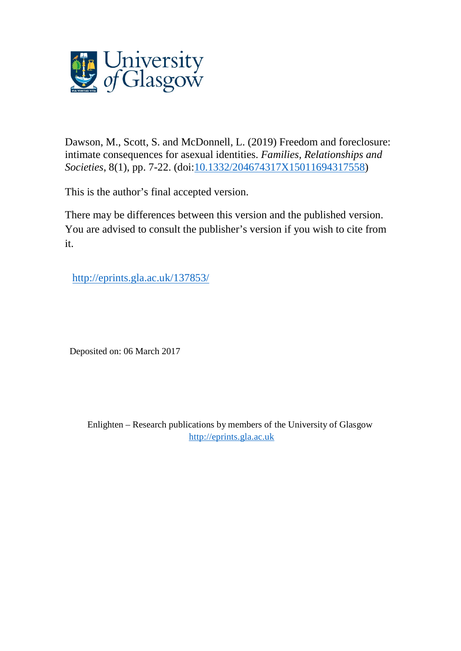

Dawson, M., Scott, S. and McDonnell, L. (2019) Freedom and foreclosure: intimate consequences for asexual identities. *Families, Relationships and Societies*, 8(1), pp. 7-22. (doi[:10.1332/204674317X15011694317558\)](http://dx.doi.org/10.1332/204674317X15011694317558)

This is the author's final accepted version.

There may be differences between this version and the published version. You are advised to consult the publisher's version if you wish to cite from it.

<http://eprints.gla.ac.uk/137853/>

Deposited on: 06 March 2017

Enlighten – Research publications by members of the University of Glasgow [http://eprints.gla.ac.uk](http://eprints.gla.ac.uk/)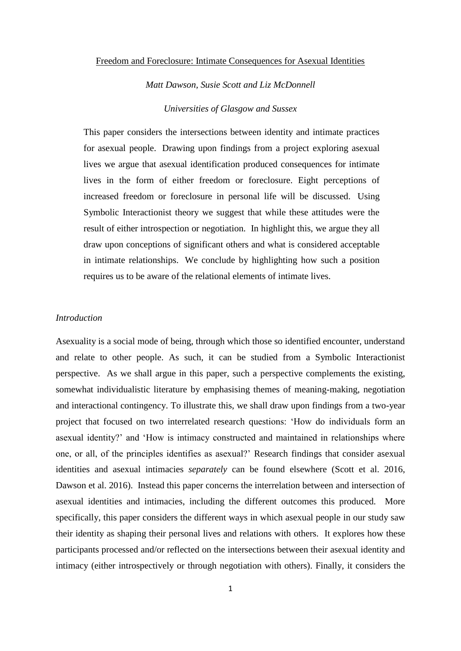#### Freedom and Foreclosure: Intimate Consequences for Asexual Identities

*Matt Dawson, Susie Scott and Liz McDonnell Universities of Glasgow and Sussex*

This paper considers the intersections between identity and intimate practices for asexual people. Drawing upon findings from a project exploring asexual lives we argue that asexual identification produced consequences for intimate lives in the form of either freedom or foreclosure. Eight perceptions of increased freedom or foreclosure in personal life will be discussed. Using Symbolic Interactionist theory we suggest that while these attitudes were the result of either introspection or negotiation. In highlight this, we argue they all draw upon conceptions of significant others and what is considered acceptable in intimate relationships. We conclude by highlighting how such a position requires us to be aware of the relational elements of intimate lives.

# *Introduction*

Asexuality is a social mode of being, through which those so identified encounter, understand and relate to other people. As such, it can be studied from a Symbolic Interactionist perspective. As we shall argue in this paper, such a perspective complements the existing, somewhat individualistic literature by emphasising themes of meaning-making, negotiation and interactional contingency. To illustrate this, we shall draw upon findings from a two-year project that focused on two interrelated research questions: 'How do individuals form an asexual identity?' and 'How is intimacy constructed and maintained in relationships where one, or all, of the principles identifies as asexual?' Research findings that consider asexual identities and asexual intimacies *separately* can be found elsewhere (Scott et al. 2016, Dawson et al. 2016). Instead this paper concerns the interrelation between and intersection of asexual identities and intimacies, including the different outcomes this produced. More specifically, this paper considers the different ways in which asexual people in our study saw their identity as shaping their personal lives and relations with others. It explores how these participants processed and/or reflected on the intersections between their asexual identity and intimacy (either introspectively or through negotiation with others). Finally, it considers the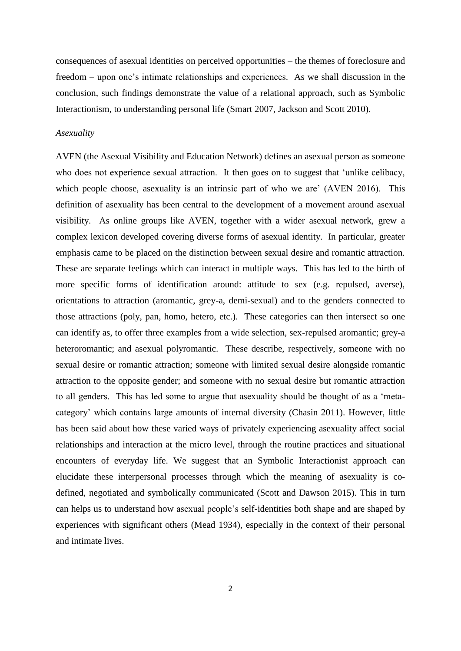consequences of asexual identities on perceived opportunities – the themes of foreclosure and freedom – upon one's intimate relationships and experiences. As we shall discussion in the conclusion, such findings demonstrate the value of a relational approach, such as Symbolic Interactionism, to understanding personal life (Smart 2007, Jackson and Scott 2010).

### *Asexuality*

AVEN (the Asexual Visibility and Education Network) defines an asexual person as someone who does not experience sexual attraction. It then goes on to suggest that 'unlike celibacy, which people choose, asexuality is an intrinsic part of who we are' (AVEN 2016). This definition of asexuality has been central to the development of a movement around asexual visibility. As online groups like AVEN, together with a wider asexual network, grew a complex lexicon developed covering diverse forms of asexual identity. In particular, greater emphasis came to be placed on the distinction between sexual desire and romantic attraction. These are separate feelings which can interact in multiple ways. This has led to the birth of more specific forms of identification around: attitude to sex (e.g. repulsed, averse), orientations to attraction (aromantic, grey-a, demi-sexual) and to the genders connected to those attractions (poly, pan, homo, hetero, etc.). These categories can then intersect so one can identify as, to offer three examples from a wide selection, sex-repulsed aromantic; grey-a heteroromantic; and asexual polyromantic. These describe, respectively, someone with no sexual desire or romantic attraction; someone with limited sexual desire alongside romantic attraction to the opposite gender; and someone with no sexual desire but romantic attraction to all genders. This has led some to argue that asexuality should be thought of as a 'metacategory' which contains large amounts of internal diversity (Chasin 2011). However, little has been said about how these varied ways of privately experiencing asexuality affect social relationships and interaction at the micro level, through the routine practices and situational encounters of everyday life. We suggest that an Symbolic Interactionist approach can elucidate these interpersonal processes through which the meaning of asexuality is codefined, negotiated and symbolically communicated (Scott and Dawson 2015). This in turn can helps us to understand how asexual people's self-identities both shape and are shaped by experiences with significant others (Mead 1934), especially in the context of their personal and intimate lives.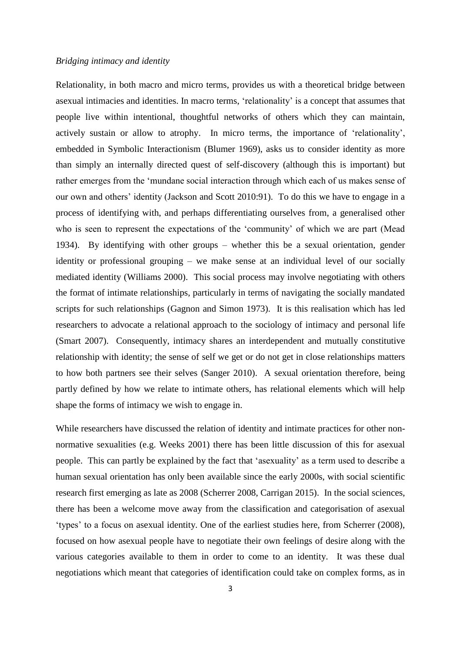### *Bridging intimacy and identity*

Relationality, in both macro and micro terms, provides us with a theoretical bridge between asexual intimacies and identities. In macro terms, 'relationality' is a concept that assumes that people live within intentional, thoughtful networks of others which they can maintain, actively sustain or allow to atrophy. In micro terms, the importance of 'relationality', embedded in Symbolic Interactionism (Blumer 1969), asks us to consider identity as more than simply an internally directed quest of self-discovery (although this is important) but rather emerges from the 'mundane social interaction through which each of us makes sense of our own and others' identity (Jackson and Scott 2010:91). To do this we have to engage in a process of identifying with, and perhaps differentiating ourselves from, a generalised other who is seen to represent the expectations of the 'community' of which we are part (Mead 1934). By identifying with other groups – whether this be a sexual orientation, gender identity or professional grouping – we make sense at an individual level of our socially mediated identity (Williams 2000). This social process may involve negotiating with others the format of intimate relationships, particularly in terms of navigating the socially mandated scripts for such relationships (Gagnon and Simon 1973). It is this realisation which has led researchers to advocate a relational approach to the sociology of intimacy and personal life (Smart 2007). Consequently, intimacy shares an interdependent and mutually constitutive relationship with identity; the sense of self we get or do not get in close relationships matters to how both partners see their selves (Sanger 2010).A sexual orientation therefore, being partly defined by how we relate to intimate others, has relational elements which will help shape the forms of intimacy we wish to engage in.

While researchers have discussed the relation of identity and intimate practices for other nonnormative sexualities (e.g. Weeks 2001) there has been little discussion of this for asexual people. This can partly be explained by the fact that 'asexuality' as a term used to describe a human sexual orientation has only been available since the early 2000s, with social scientific research first emerging as late as 2008 (Scherrer 2008, Carrigan 2015). In the social sciences, there has been a welcome move away from the classification and categorisation of asexual 'types' to a focus on asexual identity. One of the earliest studies here, from Scherrer (2008), focused on how asexual people have to negotiate their own feelings of desire along with the various categories available to them in order to come to an identity. It was these dual negotiations which meant that categories of identification could take on complex forms, as in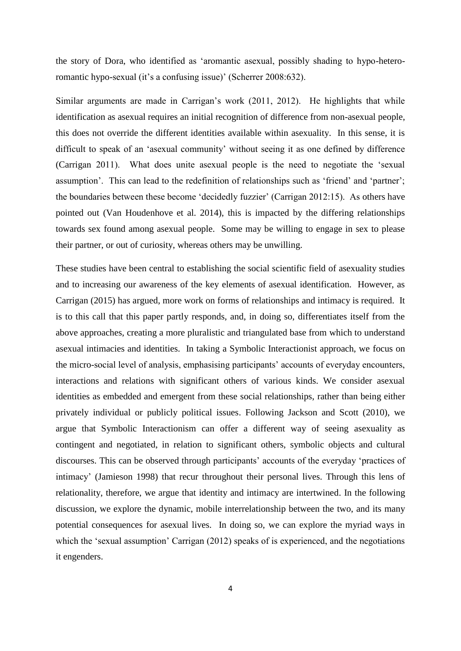the story of Dora, who identified as 'aromantic asexual, possibly shading to hypo-heteroromantic hypo-sexual (it's a confusing issue)' (Scherrer 2008:632).

Similar arguments are made in Carrigan's work (2011, 2012). He highlights that while identification as asexual requires an initial recognition of difference from non-asexual people, this does not override the different identities available within asexuality. In this sense, it is difficult to speak of an 'asexual community' without seeing it as one defined by difference (Carrigan 2011). What does unite asexual people is the need to negotiate the 'sexual assumption'. This can lead to the redefinition of relationships such as 'friend' and 'partner'; the boundaries between these become 'decidedly fuzzier' (Carrigan 2012:15). As others have pointed out (Van Houdenhove et al. 2014), this is impacted by the differing relationships towards sex found among asexual people. Some may be willing to engage in sex to please their partner, or out of curiosity, whereas others may be unwilling.

These studies have been central to establishing the social scientific field of asexuality studies and to increasing our awareness of the key elements of asexual identification. However, as Carrigan (2015) has argued, more work on forms of relationships and intimacy is required. It is to this call that this paper partly responds, and, in doing so, differentiates itself from the above approaches, creating a more pluralistic and triangulated base from which to understand asexual intimacies and identities. In taking a Symbolic Interactionist approach, we focus on the micro-social level of analysis, emphasising participants' accounts of everyday encounters, interactions and relations with significant others of various kinds. We consider asexual identities as embedded and emergent from these social relationships, rather than being either privately individual or publicly political issues. Following Jackson and Scott (2010), we argue that Symbolic Interactionism can offer a different way of seeing asexuality as contingent and negotiated, in relation to significant others, symbolic objects and cultural discourses. This can be observed through participants' accounts of the everyday 'practices of intimacy' (Jamieson 1998) that recur throughout their personal lives. Through this lens of relationality, therefore, we argue that identity and intimacy are intertwined. In the following discussion, we explore the dynamic, mobile interrelationship between the two, and its many potential consequences for asexual lives. In doing so, we can explore the myriad ways in which the 'sexual assumption' Carrigan (2012) speaks of is experienced, and the negotiations it engenders.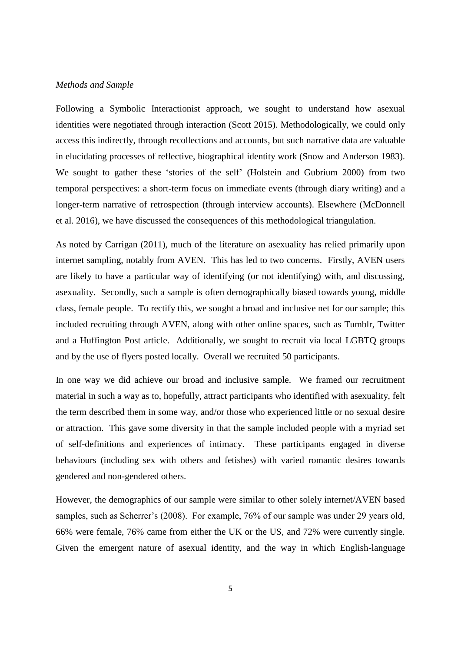# *Methods and Sample*

Following a Symbolic Interactionist approach, we sought to understand how asexual identities were negotiated through interaction (Scott 2015). Methodologically, we could only access this indirectly, through recollections and accounts, but such narrative data are valuable in elucidating processes of reflective, biographical identity work (Snow and Anderson 1983). We sought to gather these 'stories of the self' (Holstein and Gubrium 2000) from two temporal perspectives: a short-term focus on immediate events (through diary writing) and a longer-term narrative of retrospection (through interview accounts). Elsewhere (McDonnell et al. 2016), we have discussed the consequences of this methodological triangulation.

As noted by Carrigan (2011), much of the literature on asexuality has relied primarily upon internet sampling, notably from AVEN. This has led to two concerns. Firstly, AVEN users are likely to have a particular way of identifying (or not identifying) with, and discussing, asexuality. Secondly, such a sample is often demographically biased towards young, middle class, female people. To rectify this, we sought a broad and inclusive net for our sample; this included recruiting through AVEN, along with other online spaces, such as Tumblr, Twitter and a Huffington Post article. Additionally, we sought to recruit via local LGBTQ groups and by the use of flyers posted locally. Overall we recruited 50 participants.

In one way we did achieve our broad and inclusive sample. We framed our recruitment material in such a way as to, hopefully, attract participants who identified with asexuality, felt the term described them in some way, and/or those who experienced little or no sexual desire or attraction. This gave some diversity in that the sample included people with a myriad set of self-definitions and experiences of intimacy. These participants engaged in diverse behaviours (including sex with others and fetishes) with varied romantic desires towards gendered and non-gendered others.

However, the demographics of our sample were similar to other solely internet/AVEN based samples, such as Scherrer's (2008). For example, 76% of our sample was under 29 years old, 66% were female, 76% came from either the UK or the US, and 72% were currently single. Given the emergent nature of asexual identity, and the way in which English-language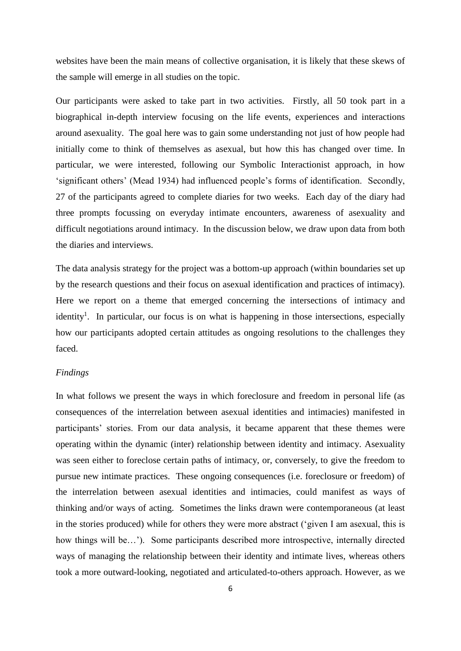websites have been the main means of collective organisation, it is likely that these skews of the sample will emerge in all studies on the topic.

Our participants were asked to take part in two activities. Firstly, all 50 took part in a biographical in-depth interview focusing on the life events, experiences and interactions around asexuality. The goal here was to gain some understanding not just of how people had initially come to think of themselves as asexual, but how this has changed over time. In particular, we were interested, following our Symbolic Interactionist approach, in how 'significant others' (Mead 1934) had influenced people's forms of identification. Secondly, 27 of the participants agreed to complete diaries for two weeks. Each day of the diary had three prompts focussing on everyday intimate encounters, awareness of asexuality and difficult negotiations around intimacy. In the discussion below, we draw upon data from both the diaries and interviews.

The data analysis strategy for the project was a bottom-up approach (within boundaries set up by the research questions and their focus on asexual identification and practices of intimacy). Here we report on a theme that emerged concerning the intersections of intimacy and identity<sup>1</sup>. In particular, our focus is on what is happening in those intersections, especially how our participants adopted certain attitudes as ongoing resolutions to the challenges they faced.

### *Findings*

In what follows we present the ways in which foreclosure and freedom in personal life (as consequences of the interrelation between asexual identities and intimacies) manifested in participants' stories. From our data analysis, it became apparent that these themes were operating within the dynamic (inter) relationship between identity and intimacy. Asexuality was seen either to foreclose certain paths of intimacy, or, conversely, to give the freedom to pursue new intimate practices. These ongoing consequences (i.e. foreclosure or freedom) of the interrelation between asexual identities and intimacies, could manifest as ways of thinking and/or ways of acting. Sometimes the links drawn were contemporaneous (at least in the stories produced) while for others they were more abstract ('given I am asexual, this is how things will be…'). Some participants described more introspective, internally directed ways of managing the relationship between their identity and intimate lives, whereas others took a more outward-looking, negotiated and articulated-to-others approach. However, as we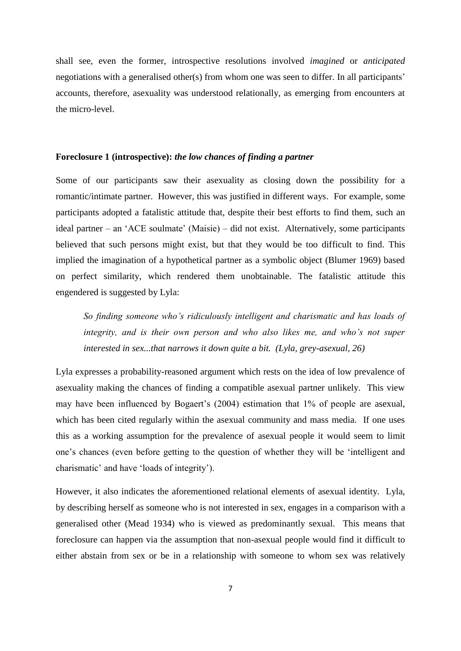shall see, even the former, introspective resolutions involved *imagined* or *anticipated* negotiations with a generalised other(s) from whom one was seen to differ. In all participants' accounts, therefore, asexuality was understood relationally, as emerging from encounters at the micro-level.

# **Foreclosure 1 (introspective):** *the low chances of finding a partner*

Some of our participants saw their asexuality as closing down the possibility for a romantic/intimate partner. However, this was justified in different ways. For example, some participants adopted a fatalistic attitude that, despite their best efforts to find them, such an ideal partner – an 'ACE soulmate' (Maisie) – did not exist. Alternatively, some participants believed that such persons might exist, but that they would be too difficult to find. This implied the imagination of a hypothetical partner as a symbolic object (Blumer 1969) based on perfect similarity, which rendered them unobtainable. The fatalistic attitude this engendered is suggested by Lyla:

*So finding someone who's ridiculously intelligent and charismatic and has loads of integrity, and is their own person and who also likes me, and who's not super interested in sex...that narrows it down quite a bit. (Lyla, grey-asexual, 26)*

Lyla expresses a probability-reasoned argument which rests on the idea of low prevalence of asexuality making the chances of finding a compatible asexual partner unlikely. This view may have been influenced by Bogaert's (2004) estimation that 1% of people are asexual, which has been cited regularly within the asexual community and mass media. If one uses this as a working assumption for the prevalence of asexual people it would seem to limit one's chances (even before getting to the question of whether they will be 'intelligent and charismatic' and have 'loads of integrity').

However, it also indicates the aforementioned relational elements of asexual identity. Lyla, by describing herself as someone who is not interested in sex, engages in a comparison with a generalised other (Mead 1934) who is viewed as predominantly sexual. This means that foreclosure can happen via the assumption that non-asexual people would find it difficult to either abstain from sex or be in a relationship with someone to whom sex was relatively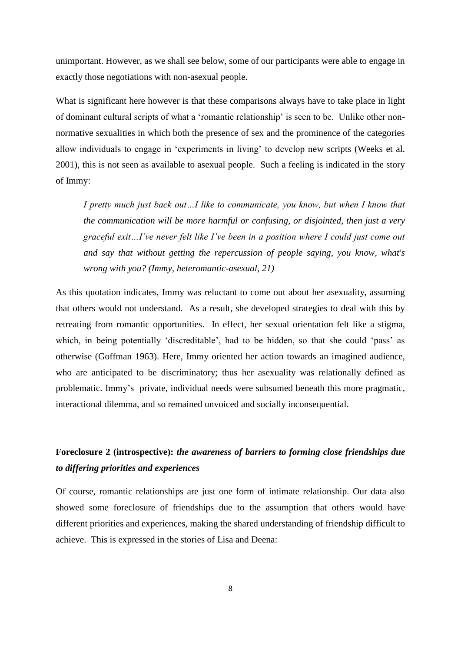unimportant. However, as we shall see below, some of our participants were able to engage in exactly those negotiations with non-asexual people.

What is significant here however is that these comparisons always have to take place in light of dominant cultural scripts of what a 'romantic relationship' is seen to be. Unlike other nonnormative sexualities in which both the presence of sex and the prominence of the categories allow individuals to engage in 'experiments in living' to develop new scripts (Weeks et al. 2001), this is not seen as available to asexual people. Such a feeling is indicated in the story of Immy:

*I pretty much just back out…I like to communicate, you know, but when I know that the communication will be more harmful or confusing, or disjointed, then just a very graceful exit…I've never felt like I've been in a position where I could just come out and say that without getting the repercussion of people saying, you know, what's wrong with you? (Immy, heteromantic-asexual, 21)*

As this quotation indicates, Immy was reluctant to come out about her asexuality, assuming that others would not understand. As a result, she developed strategies to deal with this by retreating from romantic opportunities. In effect, her sexual orientation felt like a stigma, which, in being potentially 'discreditable', had to be hidden, so that she could 'pass' as otherwise (Goffman 1963). Here, Immy oriented her action towards an imagined audience, who are anticipated to be discriminatory; thus her asexuality was relationally defined as problematic. Immy's private, individual needs were subsumed beneath this more pragmatic, interactional dilemma, and so remained unvoiced and socially inconsequential.

# **Foreclosure 2 (introspective):** *the awareness of barriers to forming close friendships due to differing priorities and experiences*

Of course, romantic relationships are just one form of intimate relationship. Our data also showed some foreclosure of friendships due to the assumption that others would have different priorities and experiences, making the shared understanding of friendship difficult to achieve. This is expressed in the stories of Lisa and Deena: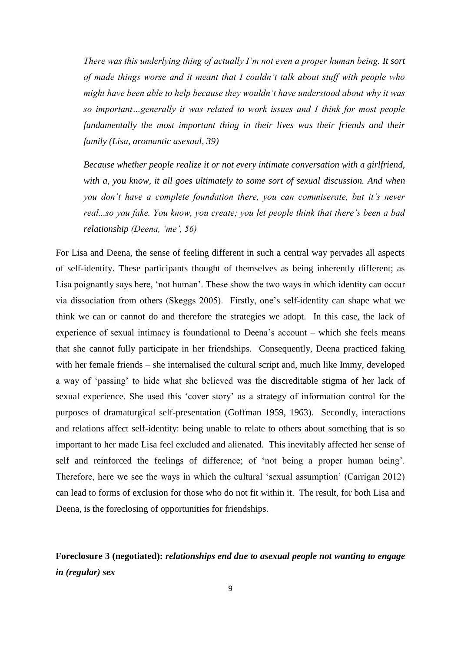*There was this underlying thing of actually I'm not even a proper human being. It sort of made things worse and it meant that I couldn't talk about stuff with people who might have been able to help because they wouldn't have understood about why it was so important…generally it was related to work issues and I think for most people fundamentally the most important thing in their lives was their friends and their family (Lisa, aromantic asexual, 39)*

*Because whether people realize it or not every intimate conversation with a girlfriend, with a, you know, it all goes ultimately to some sort of sexual discussion. And when you don't have a complete foundation there, you can commiserate, but it's never real...so you fake. You know, you create; you let people think that there's been a bad relationship (Deena, 'me', 56)*

For Lisa and Deena, the sense of feeling different in such a central way pervades all aspects of self-identity. These participants thought of themselves as being inherently different; as Lisa poignantly says here, 'not human'. These show the two ways in which identity can occur via dissociation from others (Skeggs 2005). Firstly, one's self-identity can shape what we think we can or cannot do and therefore the strategies we adopt. In this case, the lack of experience of sexual intimacy is foundational to Deena's account – which she feels means that she cannot fully participate in her friendships. Consequently, Deena practiced faking with her female friends – she internalised the cultural script and, much like Immy, developed a way of 'passing' to hide what she believed was the discreditable stigma of her lack of sexual experience. She used this 'cover story' as a strategy of information control for the purposes of dramaturgical self-presentation (Goffman 1959, 1963). Secondly, interactions and relations affect self-identity: being unable to relate to others about something that is so important to her made Lisa feel excluded and alienated. This inevitably affected her sense of self and reinforced the feelings of difference; of 'not being a proper human being'. Therefore, here we see the ways in which the cultural 'sexual assumption' (Carrigan 2012) can lead to forms of exclusion for those who do not fit within it. The result, for both Lisa and Deena, is the foreclosing of opportunities for friendships.

**Foreclosure 3 (negotiated):** *relationships end due to asexual people not wanting to engage in (regular) sex*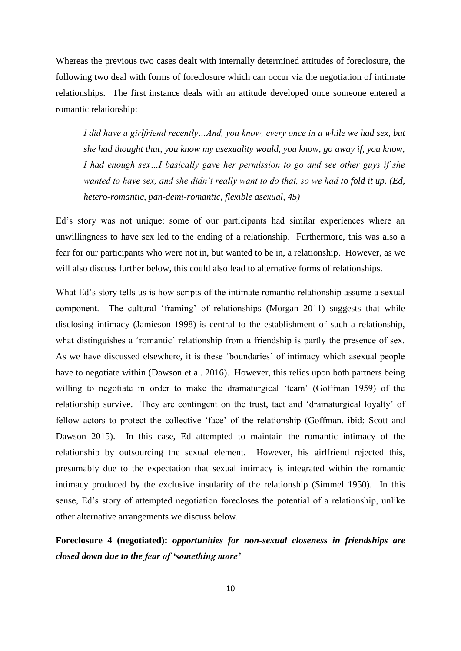Whereas the previous two cases dealt with internally determined attitudes of foreclosure, the following two deal with forms of foreclosure which can occur via the negotiation of intimate relationships. The first instance deals with an attitude developed once someone entered a romantic relationship:

*I did have a girlfriend recently…And, you know, every once in a while we had sex, but she had thought that, you know my asexuality would, you know, go away if, you know, I had enough sex…I basically gave her permission to go and see other guys if she wanted to have sex, and she didn't really want to do that, so we had to fold it up. (Ed, hetero-romantic, pan-demi-romantic, flexible asexual, 45)*

Ed's story was not unique: some of our participants had similar experiences where an unwillingness to have sex led to the ending of a relationship. Furthermore, this was also a fear for our participants who were not in, but wanted to be in, a relationship. However, as we will also discuss further below, this could also lead to alternative forms of relationships.

What Ed's story tells us is how scripts of the intimate romantic relationship assume a sexual component. The cultural 'framing' of relationships (Morgan 2011) suggests that while disclosing intimacy (Jamieson 1998) is central to the establishment of such a relationship, what distinguishes a 'romantic' relationship from a friendship is partly the presence of sex. As we have discussed elsewhere, it is these 'boundaries' of intimacy which asexual people have to negotiate within (Dawson et al. 2016). However, this relies upon both partners being willing to negotiate in order to make the dramaturgical 'team' (Goffman 1959) of the relationship survive. They are contingent on the trust, tact and 'dramaturgical loyalty' of fellow actors to protect the collective 'face' of the relationship (Goffman, ibid; Scott and Dawson 2015). In this case, Ed attempted to maintain the romantic intimacy of the relationship by outsourcing the sexual element. However, his girlfriend rejected this, presumably due to the expectation that sexual intimacy is integrated within the romantic intimacy produced by the exclusive insularity of the relationship (Simmel 1950). In this sense, Ed's story of attempted negotiation forecloses the potential of a relationship, unlike other alternative arrangements we discuss below.

**Foreclosure 4 (negotiated):** *opportunities for non-sexual closeness in friendships are closed down due to the fear of 'something more'*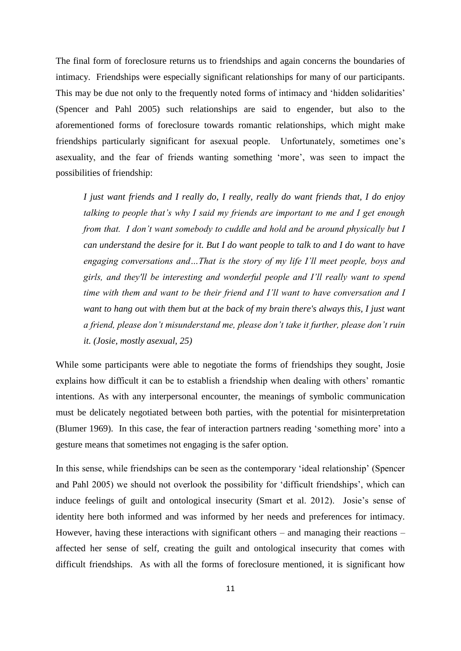The final form of foreclosure returns us to friendships and again concerns the boundaries of intimacy. Friendships were especially significant relationships for many of our participants. This may be due not only to the frequently noted forms of intimacy and 'hidden solidarities' (Spencer and Pahl 2005) such relationships are said to engender, but also to the aforementioned forms of foreclosure towards romantic relationships, which might make friendships particularly significant for asexual people. Unfortunately, sometimes one's asexuality, and the fear of friends wanting something 'more', was seen to impact the possibilities of friendship:

*I just want friends and I really do, I really, really do want friends that, I do enjoy talking to people that's why I said my friends are important to me and I get enough from that. I don't want somebody to cuddle and hold and be around physically but I can understand the desire for it. But I do want people to talk to and I do want to have engaging conversations and…That is the story of my life I'll meet people, boys and girls, and they'll be interesting and wonderful people and I'll really want to spend time with them and want to be their friend and I'll want to have conversation and I want to hang out with them but at the back of my brain there's always this, I just want a friend, please don't misunderstand me, please don't take it further, please don't ruin it. (Josie, mostly asexual, 25)*

While some participants were able to negotiate the forms of friendships they sought, Josie explains how difficult it can be to establish a friendship when dealing with others' romantic intentions. As with any interpersonal encounter, the meanings of symbolic communication must be delicately negotiated between both parties, with the potential for misinterpretation (Blumer 1969). In this case, the fear of interaction partners reading 'something more' into a gesture means that sometimes not engaging is the safer option.

In this sense, while friendships can be seen as the contemporary 'ideal relationship' (Spencer and Pahl 2005) we should not overlook the possibility for 'difficult friendships', which can induce feelings of guilt and ontological insecurity (Smart et al. 2012). Josie's sense of identity here both informed and was informed by her needs and preferences for intimacy. However, having these interactions with significant others – and managing their reactions – affected her sense of self, creating the guilt and ontological insecurity that comes with difficult friendships. As with all the forms of foreclosure mentioned, it is significant how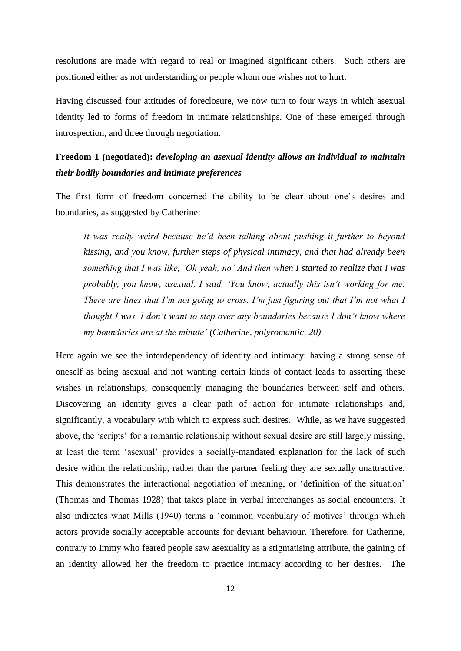resolutions are made with regard to real or imagined significant others. Such others are positioned either as not understanding or people whom one wishes not to hurt.

Having discussed four attitudes of foreclosure, we now turn to four ways in which asexual identity led to forms of freedom in intimate relationships. One of these emerged through introspection, and three through negotiation.

# **Freedom 1 (negotiated):** *developing an asexual identity allows an individual to maintain their bodily boundaries and intimate preferences*

The first form of freedom concerned the ability to be clear about one's desires and boundaries, as suggested by Catherine:

*It was really weird because he'd been talking about pushing it further to beyond kissing, and you know, further steps of physical intimacy, and that had already been something that I was like, 'Oh yeah, no' And then when I started to realize that I was probably, you know, asexual, I said, 'You know, actually this isn't working for me. There are lines that I'm not going to cross. I'm just figuring out that I'm not what I thought I was. I don't want to step over any boundaries because I don't know where my boundaries are at the minute' (Catherine, polyromantic, 20)*

Here again we see the interdependency of identity and intimacy: having a strong sense of oneself as being asexual and not wanting certain kinds of contact leads to asserting these wishes in relationships, consequently managing the boundaries between self and others. Discovering an identity gives a clear path of action for intimate relationships and, significantly, a vocabulary with which to express such desires. While, as we have suggested above, the 'scripts' for a romantic relationship without sexual desire are still largely missing, at least the term 'asexual' provides a socially-mandated explanation for the lack of such desire within the relationship, rather than the partner feeling they are sexually unattractive. This demonstrates the interactional negotiation of meaning, or 'definition of the situation' (Thomas and Thomas 1928) that takes place in verbal interchanges as social encounters. It also indicates what Mills (1940) terms a 'common vocabulary of motives' through which actors provide socially acceptable accounts for deviant behaviour. Therefore, for Catherine, contrary to Immy who feared people saw asexuality as a stigmatising attribute, the gaining of an identity allowed her the freedom to practice intimacy according to her desires. The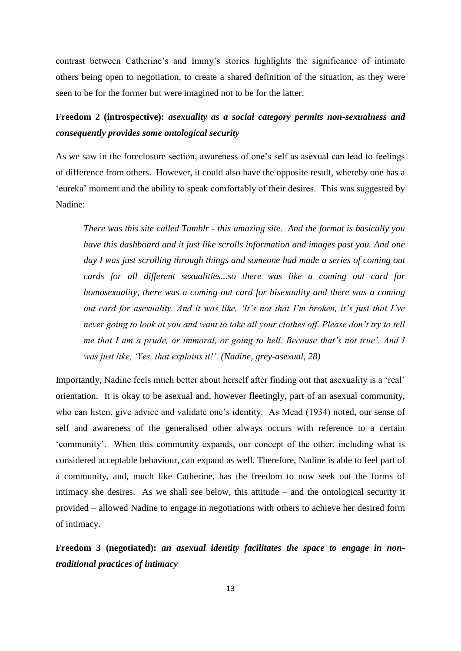contrast between Catherine's and Immy's stories highlights the significance of intimate others being open to negotiation, to create a shared definition of the situation, as they were seen to be for the former but were imagined not to be for the latter.

# **Freedom 2 (introspective):** *asexuality as a social category permits non-sexualness and consequently provides some ontological security*

As we saw in the foreclosure section, awareness of one's self as asexual can lead to feelings of difference from others. However, it could also have the opposite result, whereby one has a 'eureka' moment and the ability to speak comfortably of their desires. This was suggested by Nadine:

*There was this site called Tumblr - this amazing site. And the format is basically you have this dashboard and it just like scrolls information and images past you. And one day I was just scrolling through things and someone had made a series of coming out cards for all different sexualities...so there was like a coming out card for homosexuality, there was a coming out card for bisexuality and there was a coming out card for asexuality. And it was like, 'It's not that I'm broken, it's just that I've never going to look at you and want to take all your clothes off. Please don't try to tell me that I am a prude, or immoral, or going to hell. Because that's not true'. And I was just like, 'Yes, that explains it!'. (Nadine, grey-asexual, 28)*

Importantly, Nadine feels much better about herself after finding out that asexuality is a 'real' orientation. It is okay to be asexual and, however fleetingly, part of an asexual community, who can listen, give advice and validate one's identity. As Mead (1934) noted, our sense of self and awareness of the generalised other always occurs with reference to a certain 'community'. When this community expands, our concept of the other, including what is considered acceptable behaviour, can expand as well. Therefore, Nadine is able to feel part of a community, and, much like Catherine, has the freedom to now seek out the forms of intimacy she desires. As we shall see below, this attitude – and the ontological security it provided – allowed Nadine to engage in negotiations with others to achieve her desired form of intimacy.

**Freedom 3 (negotiated):** *an asexual identity facilitates the space to engage in nontraditional practices of intimacy*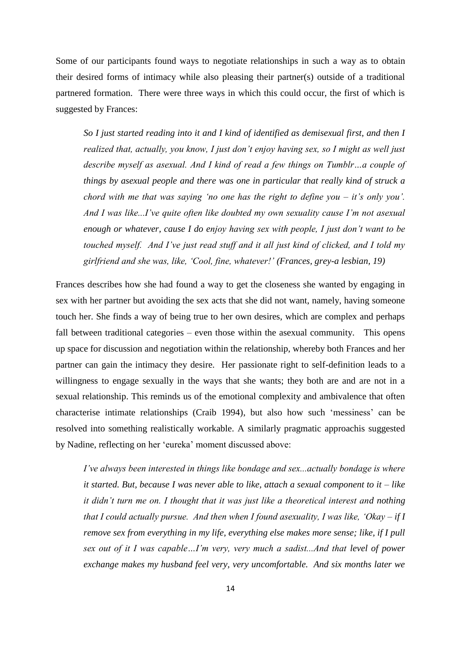Some of our participants found ways to negotiate relationships in such a way as to obtain their desired forms of intimacy while also pleasing their partner(s) outside of a traditional partnered formation. There were three ways in which this could occur, the first of which is suggested by Frances:

*So I just started reading into it and I kind of identified as demisexual first, and then I realized that, actually, you know, I just don't enjoy having sex, so I might as well just describe myself as asexual. And I kind of read a few things on Tumblr…a couple of things by asexual people and there was one in particular that really kind of struck a chord with me that was saying 'no one has the right to define you – it's only you'. And I was like...I've quite often like doubted my own sexuality cause I'm not asexual enough or whatever, cause I do enjoy having sex with people, I just don't want to be touched myself. And I've just read stuff and it all just kind of clicked, and I told my girlfriend and she was, like, 'Cool, fine, whatever!' (Frances, grey-a lesbian, 19)*

Frances describes how she had found a way to get the closeness she wanted by engaging in sex with her partner but avoiding the sex acts that she did not want, namely, having someone touch her. She finds a way of being true to her own desires, which are complex and perhaps fall between traditional categories – even those within the asexual community. This opens up space for discussion and negotiation within the relationship, whereby both Frances and her partner can gain the intimacy they desire. Her passionate right to self-definition leads to a willingness to engage sexually in the ways that she wants; they both are and are not in a sexual relationship. This reminds us of the emotional complexity and ambivalence that often characterise intimate relationships (Craib 1994), but also how such 'messiness' can be resolved into something realistically workable. A similarly pragmatic approachis suggested by Nadine, reflecting on her 'eureka' moment discussed above:

*I've always been interested in things like bondage and sex...actually bondage is where it started. But, because I was never able to like, attach a sexual component to it – like it didn't turn me on. I thought that it was just like a theoretical interest and nothing that I could actually pursue. And then when I found asexuality, I was like, 'Okay – if I remove sex from everything in my life, everything else makes more sense; like, if I pull sex out of it I was capable…I'm very, very much a sadist...And that level of power exchange makes my husband feel very, very uncomfortable. And six months later we*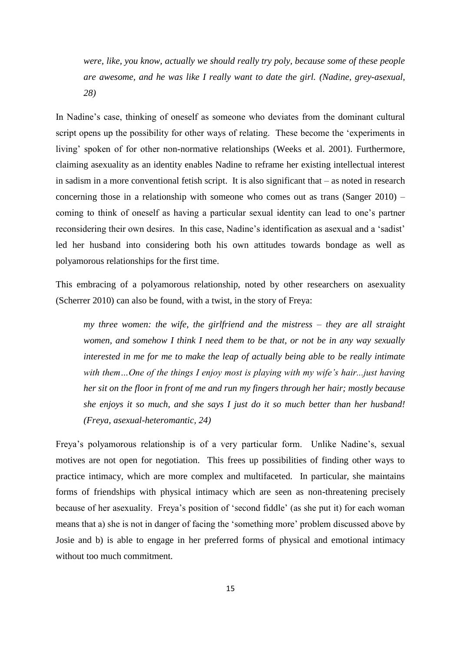*were, like, you know, actually we should really try poly, because some of these people are awesome, and he was like I really want to date the girl. (Nadine, grey-asexual, 28)*

In Nadine's case, thinking of oneself as someone who deviates from the dominant cultural script opens up the possibility for other ways of relating. These become the 'experiments in living' spoken of for other non-normative relationships (Weeks et al. 2001). Furthermore, claiming asexuality as an identity enables Nadine to reframe her existing intellectual interest in sadism in a more conventional fetish script. It is also significant that – as noted in research concerning those in a relationship with someone who comes out as trans (Sanger 2010) – coming to think of oneself as having a particular sexual identity can lead to one's partner reconsidering their own desires. In this case, Nadine's identification as asexual and a 'sadist' led her husband into considering both his own attitudes towards bondage as well as polyamorous relationships for the first time.

This embracing of a polyamorous relationship, noted by other researchers on asexuality (Scherrer 2010) can also be found, with a twist, in the story of Freya:

*my three women: the wife, the girlfriend and the mistress – they are all straight women, and somehow I think I need them to be that, or not be in any way sexually interested in me for me to make the leap of actually being able to be really intimate with them…One of the things I enjoy most is playing with my wife's hair...just having her sit on the floor in front of me and run my fingers through her hair; mostly because she enjoys it so much, and she says I just do it so much better than her husband! (Freya, asexual-heteromantic, 24)*

Freya's polyamorous relationship is of a very particular form. Unlike Nadine's, sexual motives are not open for negotiation. This frees up possibilities of finding other ways to practice intimacy, which are more complex and multifaceted. In particular, she maintains forms of friendships with physical intimacy which are seen as non-threatening precisely because of her asexuality. Freya's position of 'second fiddle' (as she put it) for each woman means that a) she is not in danger of facing the 'something more' problem discussed above by Josie and b) is able to engage in her preferred forms of physical and emotional intimacy without too much commitment.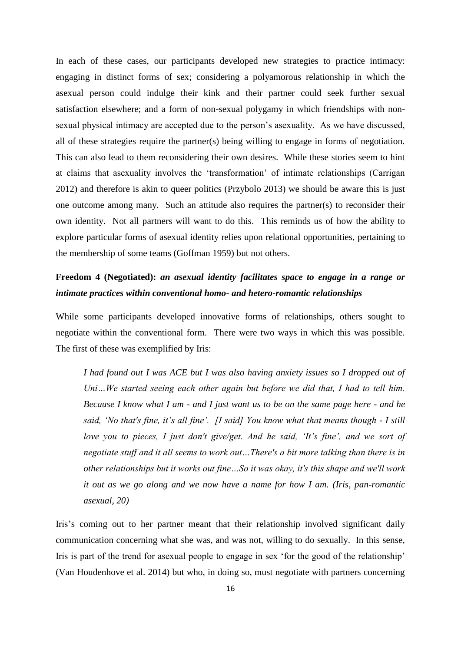In each of these cases, our participants developed new strategies to practice intimacy: engaging in distinct forms of sex; considering a polyamorous relationship in which the asexual person could indulge their kink and their partner could seek further sexual satisfaction elsewhere; and a form of non-sexual polygamy in which friendships with nonsexual physical intimacy are accepted due to the person's asexuality. As we have discussed, all of these strategies require the partner(s) being willing to engage in forms of negotiation. This can also lead to them reconsidering their own desires. While these stories seem to hint at claims that asexuality involves the 'transformation' of intimate relationships (Carrigan 2012) and therefore is akin to queer politics (Przybolo 2013) we should be aware this is just one outcome among many. Such an attitude also requires the partner(s) to reconsider their own identity. Not all partners will want to do this. This reminds us of how the ability to explore particular forms of asexual identity relies upon relational opportunities, pertaining to the membership of some teams (Goffman 1959) but not others.

# **Freedom 4 (Negotiated):** *an asexual identity facilitates space to engage in a range or intimate practices within conventional homo- and hetero-romantic relationships*

While some participants developed innovative forms of relationships, others sought to negotiate within the conventional form. There were two ways in which this was possible. The first of these was exemplified by Iris:

*I had found out I was ACE but I was also having anxiety issues so I dropped out of Uni…We started seeing each other again but before we did that, I had to tell him. Because I know what I am - and I just want us to be on the same page here - and he said, 'No that's fine, it's all fine'. [I said] You know what that means though - I still love you to pieces, I just don't give/get. And he said, 'It's fine', and we sort of negotiate stuff and it all seems to work out…There's a bit more talking than there is in other relationships but it works out fine…So it was okay, it's this shape and we'll work it out as we go along and we now have a name for how I am. (Iris, pan-romantic asexual, 20)*

Iris's coming out to her partner meant that their relationship involved significant daily communication concerning what she was, and was not, willing to do sexually. In this sense, Iris is part of the trend for asexual people to engage in sex 'for the good of the relationship' (Van Houdenhove et al. 2014) but who, in doing so, must negotiate with partners concerning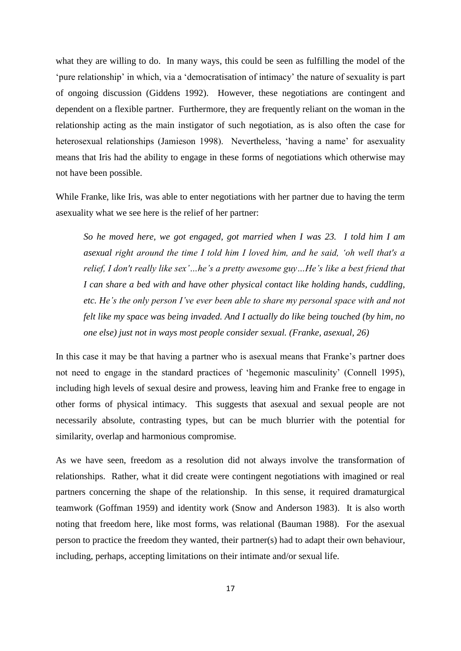what they are willing to do. In many ways, this could be seen as fulfilling the model of the 'pure relationship' in which, via a 'democratisation of intimacy' the nature of sexuality is part of ongoing discussion (Giddens 1992). However, these negotiations are contingent and dependent on a flexible partner. Furthermore, they are frequently reliant on the woman in the relationship acting as the main instigator of such negotiation, as is also often the case for heterosexual relationships (Jamieson 1998). Nevertheless, 'having a name' for asexuality means that Iris had the ability to engage in these forms of negotiations which otherwise may not have been possible.

While Franke, like Iris, was able to enter negotiations with her partner due to having the term asexuality what we see here is the relief of her partner:

*So he moved here, we got engaged, got married when I was 23. I told him I am asexual right around the time I told him I loved him, and he said, 'oh well that's a relief, I don't really like sex'…he's a pretty awesome guy…He's like a best friend that I can share a bed with and have other physical contact like holding hands, cuddling, etc. He's the only person I've ever been able to share my personal space with and not felt like my space was being invaded. And I actually do like being touched (by him, no one else) just not in ways most people consider sexual. (Franke, asexual, 26)*

In this case it may be that having a partner who is asexual means that Franke's partner does not need to engage in the standard practices of 'hegemonic masculinity' (Connell 1995), including high levels of sexual desire and prowess, leaving him and Franke free to engage in other forms of physical intimacy. This suggests that asexual and sexual people are not necessarily absolute, contrasting types, but can be much blurrier with the potential for similarity, overlap and harmonious compromise.

As we have seen, freedom as a resolution did not always involve the transformation of relationships. Rather, what it did create were contingent negotiations with imagined or real partners concerning the shape of the relationship. In this sense, it required dramaturgical teamwork (Goffman 1959) and identity work (Snow and Anderson 1983). It is also worth noting that freedom here, like most forms, was relational (Bauman 1988). For the asexual person to practice the freedom they wanted, their partner(s) had to adapt their own behaviour, including, perhaps, accepting limitations on their intimate and/or sexual life.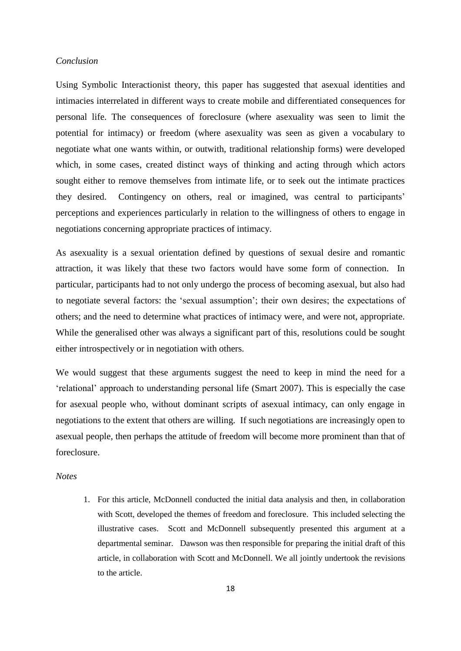### *Conclusion*

Using Symbolic Interactionist theory, this paper has suggested that asexual identities and intimacies interrelated in different ways to create mobile and differentiated consequences for personal life. The consequences of foreclosure (where asexuality was seen to limit the potential for intimacy) or freedom (where asexuality was seen as given a vocabulary to negotiate what one wants within, or outwith, traditional relationship forms) were developed which, in some cases, created distinct ways of thinking and acting through which actors sought either to remove themselves from intimate life, or to seek out the intimate practices they desired. Contingency on others, real or imagined, was central to participants' perceptions and experiences particularly in relation to the willingness of others to engage in negotiations concerning appropriate practices of intimacy.

As asexuality is a sexual orientation defined by questions of sexual desire and romantic attraction, it was likely that these two factors would have some form of connection. In particular, participants had to not only undergo the process of becoming asexual, but also had to negotiate several factors: the 'sexual assumption'; their own desires; the expectations of others; and the need to determine what practices of intimacy were, and were not, appropriate. While the generalised other was always a significant part of this, resolutions could be sought either introspectively or in negotiation with others.

We would suggest that these arguments suggest the need to keep in mind the need for a 'relational' approach to understanding personal life (Smart 2007). This is especially the case for asexual people who, without dominant scripts of asexual intimacy, can only engage in negotiations to the extent that others are willing. If such negotiations are increasingly open to asexual people, then perhaps the attitude of freedom will become more prominent than that of foreclosure.

### *Notes*

1. For this article, McDonnell conducted the initial data analysis and then, in collaboration with Scott, developed the themes of freedom and foreclosure. This included selecting the illustrative cases. Scott and McDonnell subsequently presented this argument at a departmental seminar. Dawson was then responsible for preparing the initial draft of this article, in collaboration with Scott and McDonnell. We all jointly undertook the revisions to the article.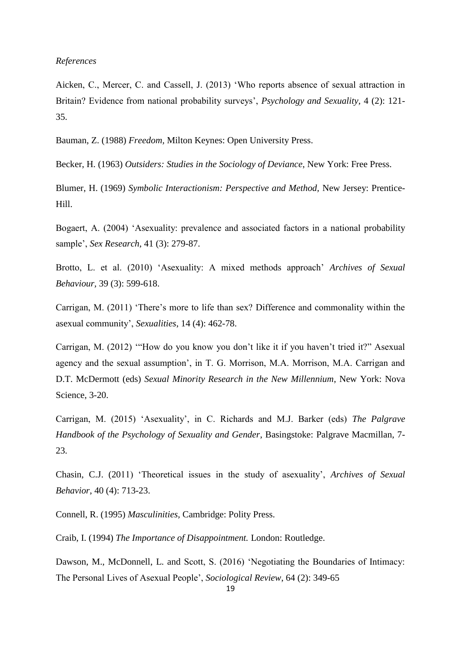#### *References*

Aicken, C., Mercer, C. and Cassell, J. (2013) 'Who reports absence of sexual attraction in Britain? Evidence from national probability surveys', *Psychology and Sexuality,* 4 (2): 121- 35.

Bauman, Z. (1988) *Freedom,* Milton Keynes: Open University Press.

Becker, H. (1963) *Outsiders: Studies in the Sociology of Deviance*, New York: Free Press.

Blumer, H. (1969) *Symbolic Interactionism: Perspective and Method,* New Jersey: Prentice-Hill.

Bogaert, A. (2004) 'Asexuality: prevalence and associated factors in a national probability sample', *Sex Research*, 41 (3): 279-87.

Brotto, L. et al. (2010) 'Asexuality: A mixed methods approach' *Archives of Sexual Behaviour,* 39 (3): 599-618.

Carrigan, M. (2011) 'There's more to life than sex? Difference and commonality within the asexual community', *Sexualities*, 14 (4): 462-78.

Carrigan, M. (2012) '"How do you know you don't like it if you haven't tried it?" Asexual agency and the sexual assumption', in T. G. Morrison, M.A. Morrison, M.A. Carrigan and D.T. McDermott (eds) *Sexual Minority Research in the New Millennium*, New York: Nova Science, 3-20.

Carrigan, M. (2015) 'Asexuality', in C. Richards and M.J. Barker (eds) *The Palgrave Handbook of the Psychology of Sexuality and Gender*, Basingstoke: Palgrave Macmillan, 7- 23.

Chasin, C.J. (2011) 'Theoretical issues in the study of asexuality', *Archives of Sexual Behavior*, 40 (4): 713-23.

Connell, R. (1995) *Masculinities,* Cambridge: Polity Press.

Craib, I. (1994) *The Importance of Disappointment.* London: Routledge.

Dawson, M., McDonnell, L. and Scott, S. (2016) 'Negotiating the Boundaries of Intimacy: The Personal Lives of Asexual People', *Sociological Review*, 64 (2): 349-65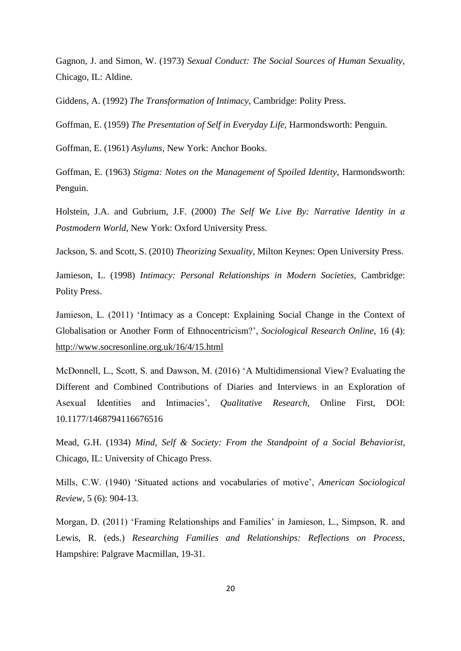Gagnon, J. and Simon, W. (1973) *Sexual Conduct: The Social Sources of Human Sexuality,* Chicago, IL: Aldine.

Giddens, A. (1992) *The Transformation of Intimacy*, Cambridge: Polity Press.

Goffman, E. (1959) *The Presentation of Self in Everyday Life,* Harmondsworth: Penguin.

Goffman, E. (1961) *Asylums,* New York: Anchor Books.

Goffman, E. (1963) *Stigma: Notes on the Management of Spoiled Identity*, Harmondsworth: Penguin.

Holstein, J.A. and Gubrium, J.F. (2000) *The Self We Live By: Narrative Identity in a Postmodern World*, New York: Oxford University Press.

Jackson, S. and Scott, S. (2010) *Theorizing Sexuality,* Milton Keynes: Open University Press.

Jamieson, L. (1998) *Intimacy: Personal Relationships in Modern Societies,* Cambridge: Polity Press.

Jamieson, L. (2011) 'Intimacy as a Concept: Explaining Social Change in the Context of Globalisation or Another Form of Ethnocentricism?', *Sociological Research Online,* 16 (4): <http://www.socresonline.org.uk/16/4/15.html>

McDonnell, L., Scott, S. and Dawson, M. (2016) 'A Multidimensional View? Evaluating the Different and Combined Contributions of Diaries and Interviews in an Exploration of Asexual Identities and Intimacies', *Qualitative Research*, Online First, DOI: 10.1177/1468794116676516

Mead, G.H. (1934) *Mind, Self & Society: From the Standpoint of a Social Behaviorist,* Chicago, IL: University of Chicago Press.

Mills, C.W. (1940) 'Situated actions and vocabularies of motive', *American Sociological Review,* 5 (6): 904-13.

Morgan, D. (2011) 'Framing Relationships and Families' in Jamieson, L., Simpson, R. and Lewis, R. (eds.) *Researching Families and Relationships: Reflections on Process,*  Hampshire: Palgrave Macmillan, 19-31.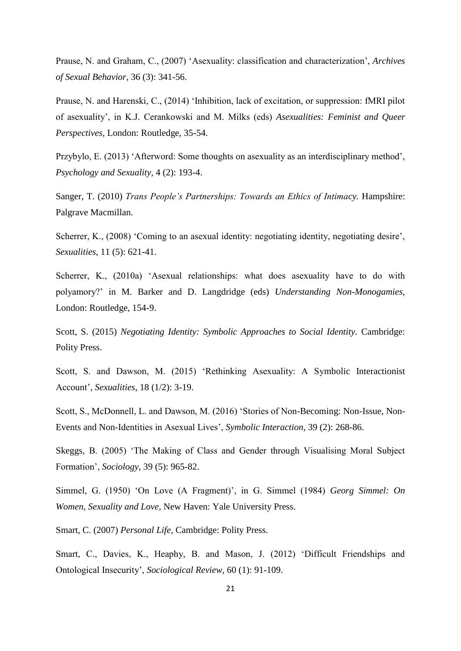Prause, N. and Graham, C., (2007) 'Asexuality: classification and characterization', *Archives of Sexual Behavior*, 36 (3): 341-56.

Prause, N. and Harenski, C., (2014) 'Inhibition, lack of excitation, or suppression: fMRI pilot of asexuality', in K.J. Cerankowski and M. Milks (eds) *Asexualities: Feminist and Queer Perspectives*, London: Routledge, 35-54.

Przybylo, E. (2013) 'Afterword: Some thoughts on asexuality as an interdisciplinary method', *Psychology and Sexuality,* 4 (2): 193-4.

Sanger, T. (2010) *Trans People's Partnerships: Towards an Ethics of Intimacy*. Hampshire: Palgrave Macmillan.

Scherrer, K., (2008) 'Coming to an asexual identity: negotiating identity, negotiating desire', *Sexualities*, 11 (5): 621-41.

Scherrer, K., (2010a) 'Asexual relationships: what does asexuality have to do with polyamory?' in M. Barker and D. Langdridge (eds) *Understanding Non-Monogamies*, London: Routledge, 154-9.

Scott, S. (2015) *Negotiating Identity: Symbolic Approaches to Social Identity.* Cambridge: Polity Press.

Scott, S. and Dawson, M. (2015) 'Rethinking Asexuality: A Symbolic Interactionist Account', *Sexualities*, 18 (1/2): 3-19.

Scott, S., McDonnell, L. and Dawson, M. (2016) 'Stories of Non-Becoming: Non-Issue, Non-Events and Non-Identities in Asexual Lives', *Symbolic Interaction*, 39 (2): 268-86.

Skeggs, B. (2005) 'The Making of Class and Gender through Visualising Moral Subject Formation', *Sociology,* 39 (5): 965-82.

Simmel, G. (1950) 'On Love (A Fragment)', in G. Simmel (1984) *Georg Simmel: On Women, Sexuality and Love,* New Haven: Yale University Press.

Smart, C. (2007) *Personal Life,* Cambridge: Polity Press.

Smart, C., Davies, K., Heaphy, B. and Mason, J. (2012) 'Difficult Friendships and Ontological Insecurity', *Sociological Review*, 60 (1): 91-109.